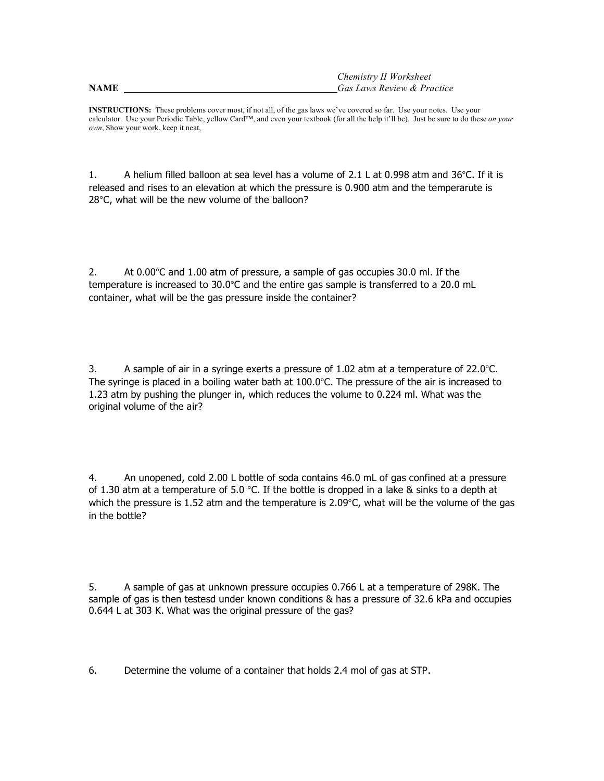|--|--|--|--|--|

*Chemistry II Worksheet*  **NAME** *Gas Laws Review & Practice*

**INSTRUCTIONS:** These problems cover most, if not all, of the gas laws we've covered so far. Use your notes. Use your calculator. Use your Periodic Table, yellow Card™, and even your textbook (for all the help it'll be). Just be sure to do these *on your own*, Show your work, keep it neat,

1. A helium filled balloon at sea level has a volume of 2.1 L at 0.998 atm and  $36^{\circ}$ C. If it is released and rises to an elevation at which the pressure is 0.900 atm and the temperarute is 28°C, what will be the new volume of the balloon?

2. At 0.00°C and 1.00 atm of pressure, a sample of gas occupies 30.0 ml. If the temperature is increased to 30.0°C and the entire gas sample is transferred to a 20.0 mL container, what will be the gas pressure inside the container?

3. A sample of air in a syringe exerts a pressure of  $1.02$  atm at a temperature of  $22.0^{\circ}$ C. The syringe is placed in a boiling water bath at 100.0°C. The pressure of the air is increased to 1.23 atm by pushing the plunger in, which reduces the volume to 0.224 ml. What was the original volume of the air?

4. An unopened, cold 2.00 L bottle of soda contains 46.0 mL of gas confined at a pressure of 1.30 atm at a temperature of 5.0 °C. If the bottle is dropped in a lake & sinks to a depth at which the pressure is 1.52 atm and the temperature is 2.09 $^{\circ}$ C, what will be the volume of the gas in the bottle?

5. A sample of gas at unknown pressure occupies 0.766 L at a temperature of 298K. The sample of gas is then testesd under known conditions & has a pressure of 32.6 kPa and occupies 0.644 L at 303 K. What was the original pressure of the gas?

6. Determine the volume of a container that holds 2.4 mol of gas at STP.